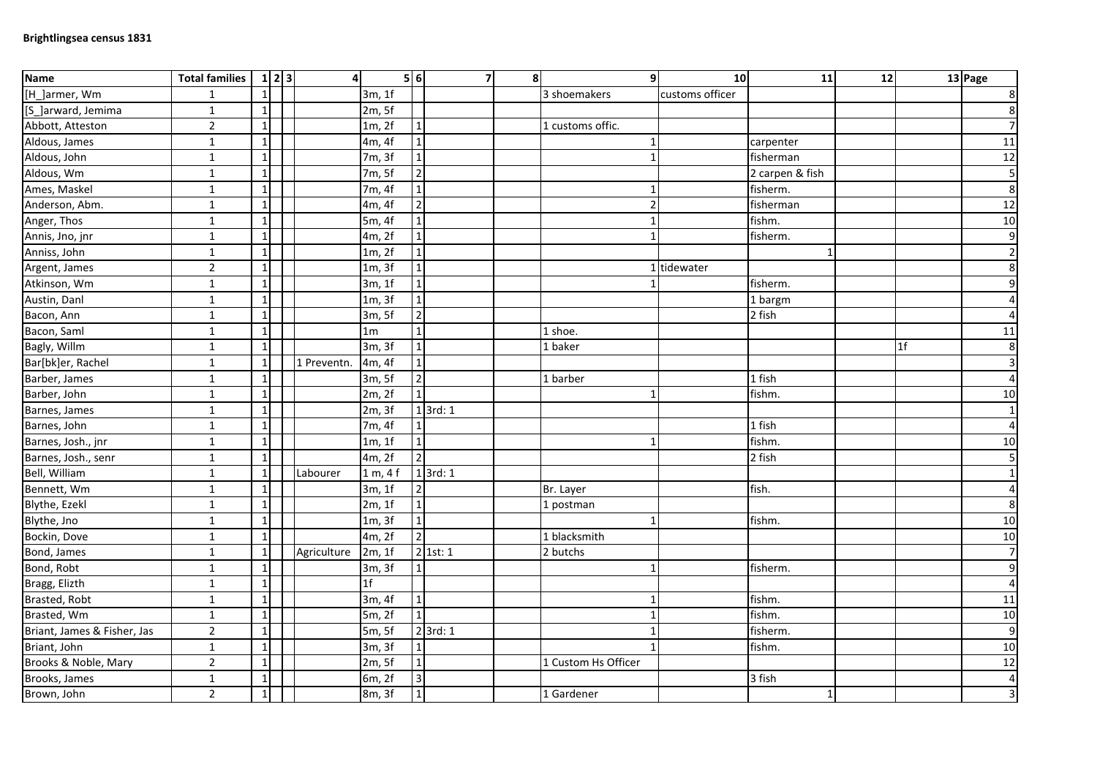| Name                        | <b>Total families</b> | $1\vert 2\vert 3$ | 4           |                | 5 6                     | $\overline{7}$ | $\mathbf{8}$ | 9l                  | 10              | 11              | 12 |                | 13 Page                 |
|-----------------------------|-----------------------|-------------------|-------------|----------------|-------------------------|----------------|--------------|---------------------|-----------------|-----------------|----|----------------|-------------------------|
| [H_]armer, Wm               | $\mathbf{1}$          | $\mathbf{1}$      |             | 3m, 1f         |                         |                |              | 3 shoemakers        | customs officer |                 |    |                | $\bf 8$                 |
| [S_]arward, Jemima          | $\mathbf{1}$          | $\mathbf{1}$      |             | 2m, 5f         |                         |                |              |                     |                 |                 |    |                | 8                       |
| Abbott, Atteston            | $\overline{2}$        | $\mathbf{1}$      |             | 1m, 2f         | $\mathbf{1}$            |                |              | 1 customs offic.    |                 |                 |    |                | $\overline{7}$          |
| Aldous, James               | $\mathbf{1}$          | $\mathbf{1}$      |             | 4m, 4f         | $\overline{1}$          |                |              |                     |                 | carpenter       |    |                | 11                      |
| Aldous, John                | $\mathbf 1$           | $\mathbf{1}$      |             | 7m, 3f         | $\overline{1}$          |                |              |                     |                 | fisherman       |    |                | 12                      |
| Aldous, Wm                  | $\mathbf{1}$          | $\mathbf{1}$      |             | 7m, 5f         | $\overline{2}$          |                |              |                     |                 | 2 carpen & fish |    |                | $\overline{\mathbf{5}}$ |
| Ames, Maskel                | $\mathbf 1$           | $\mathbf{1}$      |             | 7m, 4f         | $\mathbf 1$             |                |              |                     |                 | fisherm.        |    |                | $\boldsymbol{8}$        |
| Anderson, Abm.              | $\mathbf{1}$          | $\mathbf{1}$      |             | 4m, 4f         | $\overline{2}$          |                |              |                     |                 | fisherman       |    |                | 12                      |
| Anger, Thos                 | $\mathbf{1}$          | $\mathbf{1}$      |             | 5m, 4f         | $\mathbf{1}$            |                |              |                     |                 | fishm.          |    |                | 10                      |
| Annis, Jno, jnr             | $\mathbf{1}$          | $\mathbf{1}$      |             | 4m, 2f         | $\mathbf 1$             |                |              |                     |                 | fisherm.        |    |                | $\overline{9}$          |
| Anniss, John                | $\mathbf{1}$          | $1\vert$          |             | 1m, 2f         | $\overline{1}$          |                |              |                     |                 |                 |    |                | $\overline{2}$          |
| Argent, James               | $\overline{2}$        | $\mathbf{1}$      |             | 1m, 3f         | $\overline{1}$          |                |              |                     | 1 tidewater     |                 |    |                | $\boldsymbol{8}$        |
| Atkinson, Wm                | $\mathbf{1}$          | $\mathbf{1}$      |             | 3m, 1f         | $\mathbf{1}$            |                |              |                     |                 | fisherm.        |    |                | 9                       |
| Austin, Danl                | $\mathbf 1$           | $\mathbf{1}$      |             | 1m, 3f         | $\mathbf 1$             |                |              |                     |                 | 1 bargm         |    |                | $\overline{4}$          |
| Bacon, Ann                  | $\mathbf{1}$          | $\mathbf{1}$      |             | 3m, 5f         | $\overline{2}$          |                |              |                     |                 | 2 fish          |    |                | $\overline{4}$          |
| Bacon, Saml                 | $\overline{1}$        | $\mathbf{1}$      |             | 1 <sub>m</sub> | $\overline{1}$          |                |              | 1 shoe.             |                 |                 |    |                | 11                      |
| Bagly, Willm                | $\mathbf{1}$          | $\mathbf{1}$      |             | 3m, 3f         | $\mathbf{1}$            |                |              | 1 baker             |                 |                 |    | 1 <sup>f</sup> | $\boldsymbol{8}$        |
| Bar[bk]er, Rachel           | $\mathbf{1}$          | $1\vert$          | 1 Preventn. | 4m, 4f         | $\overline{1}$          |                |              |                     |                 |                 |    |                | $\mathbf{3}$            |
| Barber, James               | $\mathbf{1}$          | $\mathbf{1}$      |             | 3m, 5f         | $\overline{2}$          |                |              | 1 barber            |                 | 1 fish          |    |                | $\vert$                 |
| Barber, John                | $\mathbf{1}$          | $\mathbf{1}$      |             | 2m, 2f         | $\mathbf{1}$            |                |              |                     |                 | fishm.          |    |                | 10                      |
| Barnes, James               | $\mathbf{1}$          | $\mathbf{1}$      |             | 2m, 3f         |                         | $1$ 3rd: $1$   |              |                     |                 |                 |    |                | $1\overline{)}$         |
| Barnes, John                | $\mathbf{1}$          | $\mathbf{1}$      |             | 7m, 4f         | $\mathbf{1}$            |                |              |                     |                 | 1 fish          |    |                | $\overline{4}$          |
| Barnes, Josh., jnr          | $\mathbf 1$           | $\mathbf{1}$      |             | 1m, 1f         | $\mathbf{1}$            |                |              |                     |                 | fishm.          |    |                | 10                      |
| Barnes, Josh., senr         | $\mathbf{1}$          | $\mathbf{1}$      |             | 4m, 2f         | $\overline{2}$          |                |              |                     |                 | 2 fish          |    |                | 5 <sub>l</sub>          |
| Bell, William               | $\mathbf{1}$          | $\mathbf{1}$      | Labourer    | 1 m, 4 f       |                         | $1$ 3rd: $1$   |              |                     |                 |                 |    |                | $1\vert$                |
| Bennett, Wm                 | $\mathbf{1}$          | $\mathbf{1}$      |             | 3m, 1f         | $\overline{2}$          |                |              | Br. Layer           |                 | fish.           |    |                | $\overline{4}$          |
| Blythe, Ezekl               | $\mathbf 1$           | $\mathbf{1}$      |             | 2m, 1f         | $\mathbf{1}$            |                |              | 1 postman           |                 |                 |    |                | $\boldsymbol{8}$        |
| Blythe, Jno                 | $\mathbf{1}$          | $\mathbf{1}$      |             | 1m, 3f         | $\mathbf 1$             |                |              |                     |                 | fishm.          |    |                | 10                      |
| Bockin, Dove                | $\mathbf 1$           | $\mathbf{1}$      |             | 4m, 2f         | $\overline{2}$          |                |              | 1 blacksmith        |                 |                 |    |                | 10                      |
| Bond, James                 | $\mathbf 1$           | $\mathbf{1}$      | Agriculture | 2m, 1f         |                         | $2$ 1st: 1     |              | 2 butchs            |                 |                 |    |                | $\overline{7}$          |
| Bond, Robt                  | $\mathbf{1}$          | $\mathbf{1}$      |             | 3m, 3f         | $\mathbf{1}$            |                |              |                     |                 | fisherm.        |    |                | 9                       |
| Bragg, Elizth               | $\mathbf 1$           | $1\vert$          |             | 1 <sub>f</sub> |                         |                |              |                     |                 |                 |    |                | $\overline{4}$          |
| Brasted, Robt               | $\mathbf{1}$          | $\mathbf{1}$      |             | 3m, 4f         | $\mathbf 1$             |                |              |                     |                 | fishm.          |    |                | 11                      |
| Brasted, Wm                 | $\mathbf 1$           | $\mathbf{1}$      |             | 5m, 2f         | $\mathbf 1$             |                |              |                     |                 | fishm.          |    |                | 10                      |
| Briant, James & Fisher, Jas | $\overline{2}$        | $\mathbf{1}$      |             | 5m, 5f         |                         | $2$ 3rd: 1     |              |                     |                 | fisherm.        |    |                | $\overline{9}$          |
| Briant, John                | $\mathbf{1}$          | $\mathbf{1}$      |             | 3m, 3f         | $\mathbf 1$             |                |              |                     |                 | fishm.          |    |                | 10                      |
| Brooks & Noble, Mary        | $\overline{2}$        | $\mathbf{1}$      |             | 2m, 5f         | $\mathbf{1}$            |                |              | 1 Custom Hs Officer |                 |                 |    |                | 12                      |
| Brooks, James               | $\mathbf{1}$          | 1                 |             | 6m, 2f         | $\overline{\mathbf{3}}$ |                |              |                     |                 | 3 fish          |    |                | $\overline{a}$          |
| Brown, John                 | $\overline{2}$        | $\mathbf{1}$      |             | 8m, 3f         | $\mathbf 1$             |                |              | 1 Gardener          |                 | $\mathbf{1}$    |    |                | $\overline{3}$          |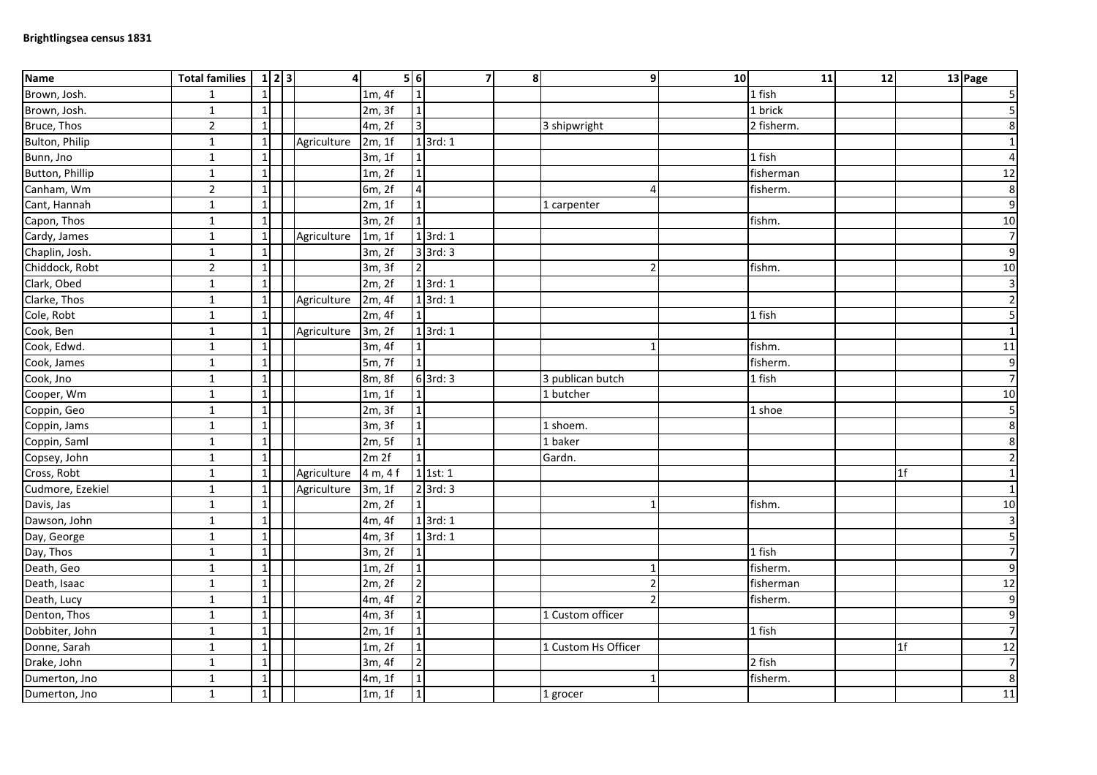| Name             | <b>Total families</b> | $1\vert 2\vert 3$ | $\overline{4}$ |                      | 5 6             | 7            | $\boldsymbol{8}$ |                     | 9<br>10      | 11         | 12 |                | 13 Page                 |
|------------------|-----------------------|-------------------|----------------|----------------------|-----------------|--------------|------------------|---------------------|--------------|------------|----|----------------|-------------------------|
| Brown, Josh.     | $\mathbf{1}$          | $\mathbf{1}$      |                | 1m, 4f               | $\mathbf{1}$    |              |                  |                     |              | 1 fish     |    |                | $\overline{\mathbf{5}}$ |
| Brown, Josh.     | $\mathbf{1}$          | $\mathbf{1}$      |                | 2m, 3f               | $\overline{1}$  |              |                  |                     |              | 1 brick    |    |                | 5                       |
| Bruce, Thos      | $\overline{2}$        | $1\vert$          |                | 4m, 2f               | ن               |              |                  | 3 shipwright        |              | 2 fisherm. |    |                | 8                       |
| Bulton, Philip   | $\mathbf{1}$          | $1\vert$          | Agriculture    | 2m, 1f               |                 | 13rd:1       |                  |                     |              |            |    |                | $\mathbf{1}$            |
| Bunn, Jno        | $\mathbf{1}$          | $1\vert$          |                | 3m, 1f               | $\mathbf{1}$    |              |                  |                     |              | 1 fish     |    |                | $\overline{a}$          |
| Button, Phillip  | $\mathbf{1}$          | 1                 |                | 1m, 2f               | $\mathbf{1}$    |              |                  |                     |              | fisherman  |    |                | 12                      |
| Canham, Wm       | $\overline{2}$        | $\mathbf{1}$      |                | 6m, 2f               | $\sqrt{4}$      |              |                  |                     |              | fisherm.   |    |                | $\bf 8$                 |
| Cant, Hannah     | $\mathbf{1}$          | 1                 |                | 2m, 1f               | $\mathbf 1$     |              |                  | 1 carpenter         |              |            |    |                | 9                       |
| Capon, Thos      | $\mathbf{1}$          | $\mathbf{1}$      |                | 3m, 2f               | $\overline{1}$  |              |                  |                     |              | fishm.     |    |                | 10                      |
| Cardy, James     | $\mathbf{1}$          | $\vert$ 1         | Agriculture    | 1m, 1f               |                 | $1$ 3rd: 1   |                  |                     |              |            |    |                | $\overline{7}$          |
| Chaplin, Josh.   | $\mathbf{1}$          | $1\vert$          |                | 3m, 2f               |                 | $3$ 3rd: 3   |                  |                     |              |            |    |                | $\boldsymbol{9}$        |
| Chiddock, Robt   | $\overline{2}$        | $1\vert$          |                | 3m, 3f               | $\overline{2}$  |              |                  |                     |              | fishm.     |    |                | 10                      |
| Clark, Obed      | $\mathbf{1}$          | 1                 |                | 2m, 2f               |                 | $1$ 3rd: 1   |                  |                     |              |            |    |                | 3                       |
| Clarke, Thos     | $\mathbf{1}$          | $\vert$ 1         | Agriculture    | 2m, 4f               |                 | $1$ 3rd: $1$ |                  |                     |              |            |    |                | $\overline{2}$          |
| Cole, Robt       | $\mathbf 1$           | $\mathbf{1}$      |                | 2m, 4f               | $1\overline{)}$ |              |                  |                     |              | 1 fish     |    |                | 5                       |
| Cook, Ben        | $\mathbf{1}$          | $\vert$ 1         | Agriculture    | 3m, 2f               |                 | $1$ 3rd: 1   |                  |                     |              |            |    |                | $\mathbf{1}$            |
| Cook, Edwd.      | $\mathbf{1}$          | $\mathbf{1}$      |                | 3m, 4f               | $\mathbf{1}$    |              |                  |                     | $\mathbf{1}$ | fishm.     |    |                | 11                      |
| Cook, James      | $\mathbf{1}$          | $\mathbf{1}$      |                | 5m, 7f               | $\mathbf{1}$    |              |                  |                     |              | fisherm.   |    |                | 9                       |
| Cook, Jno        | $\mathbf{1}$          | $1\vert$          |                | $\overline{8}$ m, 8f |                 | $6$ 3rd: 3   |                  | 3 publican butch    |              | 1 fish     |    |                | $\overline{7}$          |
| Cooper, Wm       | $\mathbf{1}$          | $\mathbf{1}$      |                | 1m, 1f               | $\mathbf{1}$    |              |                  | 1 butcher           |              |            |    |                | 10                      |
| Coppin, Geo      | $\mathbf{1}$          | 1                 |                | 2m, 3f               | $\mathbf 1$     |              |                  |                     |              | 1 shoe     |    |                | 5                       |
| Coppin, Jams     | $\mathbf{1}$          | $\mathbf{1}$      |                | 3m, 3f               | $\overline{1}$  |              |                  | 1 shoem.            |              |            |    |                | $\bf 8$                 |
| Coppin, Saml     | $\mathbf{1}$          | $\mathbf{1}$      |                | 2m, 5f               | $\mathbf{1}$    |              |                  | 1 baker             |              |            |    |                | 8                       |
| Copsey, John     | $\mathbf{1}$          | $\mathbf{1}$      |                | 2m 2f                | $\mathbf{1}$    |              |                  | Gardn.              |              |            |    |                | $\overline{2}$          |
| Cross, Robt      | $\mathbf{1}$          | $1\vert$          | Agriculture    | 4 m, 4 f             |                 | $1$ 1st: 1   |                  |                     |              |            |    | 1 <sup>f</sup> | $\mathbf{1}$            |
| Cudmore, Ezekiel | $\mathbf{1}$          | $1\vert$          | Agriculture    | 3m, 1f               |                 | $2$ 3rd: 3   |                  |                     |              |            |    |                | $\mathbf{1}$            |
| Davis, Jas       | $\mathbf{1}$          | $\mathbf{1}$      |                | 2m, 2f               | $\mathbf 1$     |              |                  |                     |              | fishm.     |    |                | 10                      |
| Dawson, John     | $\mathbf{1}$          | 1                 |                | 4m, 4f               |                 | $1$ 3rd: $1$ |                  |                     |              |            |    |                | $\mathbf{3}$            |
| Day, George      | $\mathbf{1}$          | $\mathbf{1}$      |                | 4m, 3f               |                 | $1$ 3rd: $1$ |                  |                     |              |            |    |                | 5                       |
| Day, Thos        | $\mathbf{1}$          | $\mathbf{1}$      |                | 3m, 2f               | $\mathbf{1}$    |              |                  |                     |              | 1 fish     |    |                | $\overline{7}$          |
| Death, Geo       | $\mathbf 1$           | $\mathbf{1}$      |                | 1m, 2f               | $\mathbf{1}$    |              |                  |                     |              | fisherm.   |    |                | $\mathsf 9$             |
| Death, Isaac     | $\mathbf 1$           | $1\overline{ }$   |                | 2m, 2f               | $\overline{2}$  |              |                  |                     |              | fisherman  |    |                | 12                      |
| Death, Lucy      | $\mathbf{1}$          | 1                 |                | 4m, 4f               | $\overline{2}$  |              |                  |                     |              | fisherm.   |    |                | 9                       |
| Denton, Thos     | $\mathbf{1}$          | $\mathbf{1}$      |                | 4m, 3f               | $\mathbf{1}$    |              |                  | 1 Custom officer    |              |            |    |                | $\boldsymbol{9}$        |
| Dobbiter, John   | $\mathbf{1}$          | 1                 |                | 2m, 1f               | $\mathbf 1$     |              |                  |                     |              | 1 fish     |    |                | $\overline{7}$          |
| Donne, Sarah     | $\mathbf{1}$          | $1\vert$          |                | 1m, 2f               | $\overline{1}$  |              |                  | 1 Custom Hs Officer |              |            |    | 1f             | 12                      |
| Drake, John      | $\mathbf{1}$          | $\mathbf{1}$      |                | 3m, 4f               | $\overline{2}$  |              |                  |                     |              | 2 fish     |    |                | $\overline{7}$          |
| Dumerton, Jno    | $\mathbf{1}$          | 1                 |                | 4m, 1f               | $\mathbf 1$     |              |                  |                     |              | fisherm.   |    |                | $\,8\,$                 |
| Dumerton, Jno    | $\mathbf{1}$          | $\vert$ 1         |                | 1m, 1f               | $\overline{1}$  |              |                  | 1 grocer            |              |            |    |                | 11                      |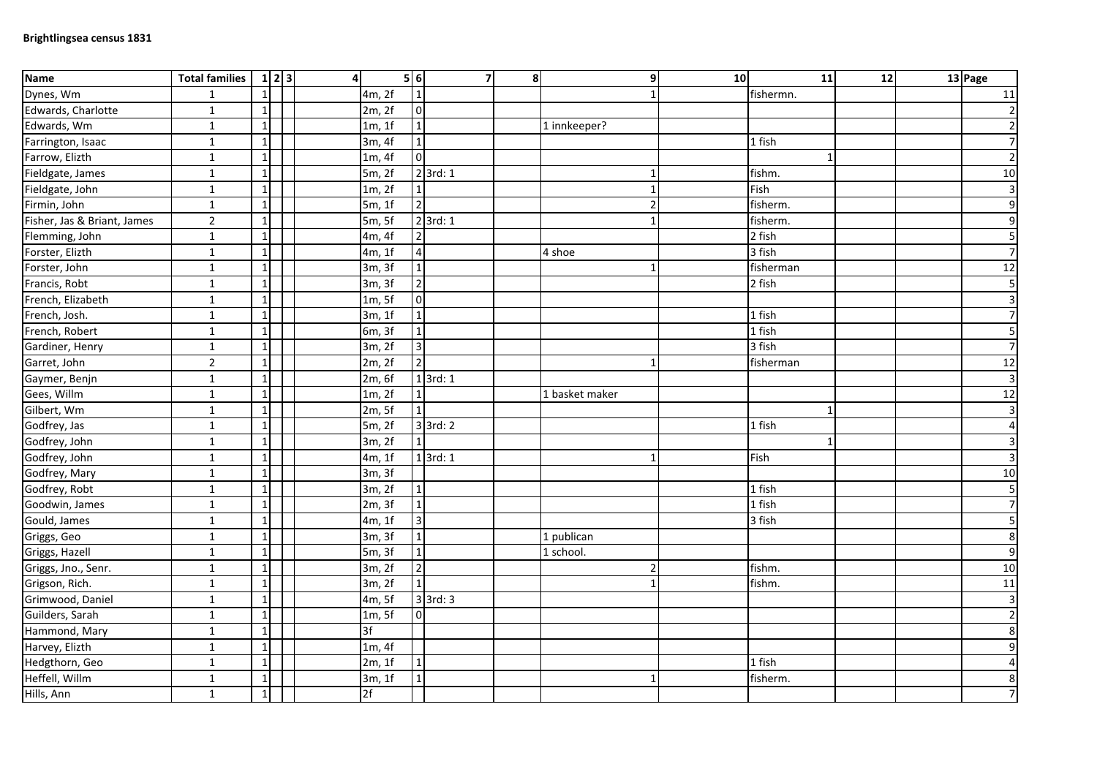| <b>Name</b>                 | <b>Total families</b> | $1 \vert 2 \vert 3$ | $\overline{4}$ | 5 6                     | $\overline{7}$ | 8 <sup>1</sup> |                | 10<br>9 | 11           | 12 | 13 Page                 |
|-----------------------------|-----------------------|---------------------|----------------|-------------------------|----------------|----------------|----------------|---------|--------------|----|-------------------------|
| Dynes, Wm                   | $\mathbf{1}$          | $1\overline{ }$     | 4m, 2f         |                         |                |                |                |         | fishermn.    |    | 11                      |
| Edwards, Charlotte          | $\mathbf{1}$          | $1\overline{ }$     | 2m, 2f         | $\mathbf 0$             |                |                |                |         |              |    | $\overline{2}$          |
| Edwards, Wm                 | $\mathbf{1}$          | $\mathbf{1}$        | 1m, 1f         | $\mathbf{1}$            |                |                | 1 innkeeper?   |         |              |    | $\overline{2}$          |
| Farrington, Isaac           | $\mathbf 1$           | $1\overline{ }$     | 3m, 4f         | $\overline{1}$          |                |                |                |         | 1 fish       |    | $\overline{7}$          |
| Farrow, Elizth              | $\mathbf 1$           | $\mathbf{1}$        | 1m, 4f         | $\pmb{0}$               |                |                |                |         | $\mathbf{1}$ |    | $\overline{2}$          |
| Fieldgate, James            | $\mathbf{1}$          | $\mathbf{1}$        | 5m, 2f         |                         | $2$ 3rd: 1     |                |                |         | fishm.       |    | 10                      |
| Fieldgate, John             | $\mathbf 1$           | $\mathbf{1}$        | 1m, 2f         | $\mathbf{1}$            |                |                |                |         | Fish         |    | ω                       |
| Firmin, John                | $\mathbf{1}$          | $\mathbf{1}$        | 5m, 1f         | $\overline{2}$          |                |                |                |         | fisherm.     |    | 9                       |
| Fisher, Jas & Briant, James | $\overline{2}$        | $\mathbf{1}$        | 5m, 5f         |                         | $2$ 3rd: 1     |                |                |         | fisherm.     |    | $\mathsf 9$             |
| Flemming, John              | $\mathbf{1}$          | $1\overline{ }$     | 4m, 4f         | $\overline{2}$          |                |                |                |         | 2 fish       |    | $\mathsf S$             |
| Forster, Elizth             | $\mathbf{1}$          | $1\overline{ }$     | 4m, 1f         | $\overline{\mathbf{r}}$ |                |                | 4 shoe         |         | 3 fish       |    | $\overline{7}$          |
| Forster, John               | $\mathbf 1$           | $\mathbf{1}$        | 3m, 3f         | $\mathbf{1}$            |                |                |                |         | fisherman    |    | 12                      |
| Francis, Robt               | $\mathbf{1}$          | $\mathbf{1}$        | 3m, 3f         | $\overline{2}$          |                |                |                |         | 2 fish       |    | $\overline{\mathbf{5}}$ |
| French, Elizabeth           | $\mathbf{1}$          | $\mathbf{1}$        | 1m, 5f         | $\overline{0}$          |                |                |                |         |              |    | $\overline{\mathbf{3}}$ |
| French, Josh.               | $\mathbf{1}$          | $1\overline{ }$     | 3m, 1f         | $\mathbf{1}$            |                |                |                |         | 1 fish       |    | $\overline{7}$          |
| French, Robert              | $\overline{1}$        | $\mathbf 1$         | 6m, 3f         | $\mathbf{1}$            |                |                |                |         | 1 fish       |    | 5                       |
| Gardiner, Henry             | $\mathbf{1}$          | $1\overline{ }$     | 3m, 2f         | $\overline{3}$          |                |                |                |         | 3 fish       |    | $\overline{7}$          |
| Garret, John                | $\overline{2}$        | $\mathbf{1}$        | 2m, 2f         | $\overline{2}$          |                |                | 1              |         | fisherman    |    | 12                      |
| Gaymer, Benjn               | $\mathbf 1$           | $1\overline{ }$     | 2m, 6f         |                         | $1$ 3rd: 1     |                |                |         |              |    | $\mathbf{3}$            |
| Gees, Willm                 | $\mathbf{1}$          | $1\overline{ }$     | 1m, 2f         |                         |                |                | 1 basket maker |         |              |    | 12                      |
| Gilbert, Wm                 | $\mathbf{1}$          | $\mathbf{1}$        | 2m, 5f         |                         |                |                |                |         | $\mathbf 1$  |    | $\overline{\mathbf{3}}$ |
| Godfrey, Jas                | $1\,$                 | $\mathbf{1}$        | 5m, 2f         |                         | $3$ 3rd: 2     |                |                |         | 1 fish       |    | $\overline{\mathbf{4}}$ |
| Godfrey, John               | $\mathbf 1$           | $\mathbf{1}$        | 3m, 2f         |                         |                |                |                |         | $\mathbf{1}$ |    | $\mathsf 3$             |
| Godfrey, John               | $\mathbf{1}$          | $\mathbf{1}$        | 4m, 1f         |                         | $1$ 3rd: 1     |                |                |         | Fish         |    | $\mathbf{3}$            |
| Godfrey, Mary               | $\mathbf{1}$          | $\mathbf{1}$        | 3m, 3f         |                         |                |                |                |         |              |    | 10                      |
| Godfrey, Robt               | $\mathbf{1}$          | $1\overline{ }$     | 3m, 2f         |                         |                |                |                |         | 1 fish       |    | $\overline{\mathbf{5}}$ |
| Goodwin, James              | $\mathbf 1$           | $1\overline{ }$     | 2m, 3f         | $\mathbf{1}$            |                |                |                |         | 1 fish       |    | $\overline{7}$          |
| Gould, James                | $\mathbf{1}$          | $1\overline{ }$     | 4m, 1f         | $\overline{3}$          |                |                |                |         | 3 fish       |    | $\overline{\mathbf{5}}$ |
| Griggs, Geo                 | $\mathbf{1}$          | $1\overline{ }$     | 3m, 3f         | $\overline{1}$          |                |                | 1 publican     |         |              |    | 8                       |
| Griggs, Hazell              | $\mathbf{1}$          | $\mathbf{1}$        | 5m, 3f         | $\mathbf{1}$            |                |                | 1 school.      |         |              |    | $\overline{9}$          |
| Griggs, Jno., Senr.         | $\mathbf 1$           | $\mathbf{1}$        | 3m, 2f         | $\overline{2}$          |                |                |                |         | fishm.       |    | 10                      |
| Grigson, Rich.              | $\mathbf{1}$          | $\mathbf{1}$        | 3m, 2f         | $\mathbf{1}$            |                |                |                |         | fishm.       |    | 11                      |
| Grimwood, Daniel            | $\mathbf{1}$          | $1\overline{ }$     | 4m, 5f         |                         | $3$ 3rd: 3     |                |                |         |              |    | $\mathbf{3}$            |
| Guilders, Sarah             | $\mathbf 1$           | $\mathbf{1}$        | 1m, 5f         | $\pmb{0}$               |                |                |                |         |              |    | $\overline{2}$          |
| Hammond, Mary               | $\mathbf{1}$          | $1\overline{ }$     | 3f             |                         |                |                |                |         |              |    | 8                       |
| Harvey, Elizth              | $\mathbf{1}$          | $1\overline{ }$     | 1m, 4f         |                         |                |                |                |         |              |    | $\mathsf 9$             |
| Hedgthorn, Geo              | $\mathbf 1$           | $\mathbf{1}$        | 2m, 1f         | $\mathbf{1}$            |                |                |                |         | 1 fish       |    | $\overline{4}$          |
| Heffell, Willm              | $\mathbf{1}$          | $\mathbf{1}$        | 3m, 1f         |                         |                |                |                |         | fisherm.     |    | 8                       |
| Hills, Ann                  | $\mathbf{1}$          | $1\overline{ }$     | 2f             |                         |                |                |                |         |              |    | $\overline{7}$          |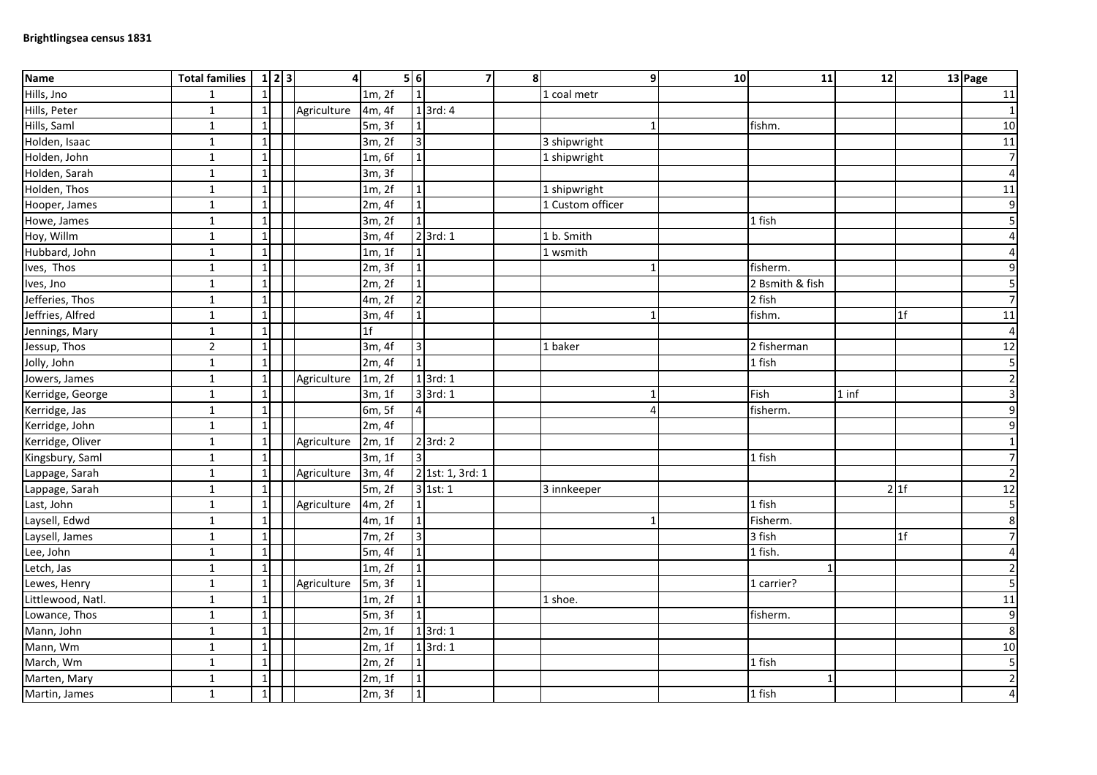| <b>Name</b>       | <b>Total families</b> | 1 2 3           | $\overline{4}$ |                | 5 6            | 7                     | 8 <sup>1</sup> |                  | 9 | 10 | 11              | 12      |                | 13 Page                 |
|-------------------|-----------------------|-----------------|----------------|----------------|----------------|-----------------------|----------------|------------------|---|----|-----------------|---------|----------------|-------------------------|
| Hills, Jno        | $\mathbf{1}$          | $\mathbf{1}$    |                | 1m, 2f         |                |                       |                | 1 coal metr      |   |    |                 |         |                | 11                      |
| Hills, Peter      | $\mathbf{1}$          | $1\vert$        | Agriculture    | 4m, 4f         |                | $\overline{1}$ 3rd: 4 |                |                  |   |    |                 |         |                | $\mathbf 1$             |
| Hills, Saml       | $\mathbf{1}$          | $\mathbf{1}$    |                | 5m, 3f         |                |                       |                |                  |   |    | fishm.          |         |                | 10                      |
| Holden, Isaac     | $\mathbf{1}$          | $1\vert$        |                | 3m, 2f         | $\overline{3}$ |                       |                | 3 shipwright     |   |    |                 |         |                | 11                      |
| Holden, John      | $\mathbf 1$           | $\mathbf{1}$    |                | 1m, 6f         | $\mathbf{1}$   |                       |                | 1 shipwright     |   |    |                 |         |                | $\overline{ }$          |
| Holden, Sarah     | $\mathbf{1}$          | $\mathbf{1}$    |                | 3m, 3f         |                |                       |                |                  |   |    |                 |         |                | $\overline{\mathbf{4}}$ |
| Holden, Thos      | $\mathbf 1$           | $\mathbf{1}$    |                | 1m, 2f         | $\mathbf{1}$   |                       |                | 1 shipwright     |   |    |                 |         |                | 11                      |
| Hooper, James     | $\mathbf{1}$          | $\mathbf{1}$    |                | 2m, 4f         | $\mathbf 1$    |                       |                | 1 Custom officer |   |    |                 |         |                | $\mathsf 9$             |
| Howe, James       | $\mathbf{1}$          | $1\overline{ }$ |                | 3m, 2f         |                |                       |                |                  |   |    | 1 fish          |         |                | $\overline{\mathbf{5}}$ |
| Hoy, Willm        | $\mathbf{1}$          | $1\overline{ }$ |                | 3m, 4f         |                | $2$ 3rd: 1            |                | 1 b. Smith       |   |    |                 |         |                | $\pmb{4}$               |
| Hubbard, John     | $\mathbf{1}$          | $1\overline{ }$ |                | 1m, 1f         |                |                       |                | 1 wsmith         |   |    |                 |         |                | $\overline{a}$          |
| Ives, Thos        | $\mathbf 1$           | $\mathbf{1}$    |                | 2m, 3f         |                |                       |                |                  |   |    | fisherm.        |         |                | $\mathsf 9$             |
| Ives, Jno         | $\mathbf{1}$          | $\mathbf{1}$    |                | 2m, 2f         | $\mathbf{1}$   |                       |                |                  |   |    | 2 Bsmith & fish |         |                | 5                       |
| Jefferies, Thos   | $\mathbf{1}$          | $\mathbf{1}$    |                | 4m, 2f         | $\overline{2}$ |                       |                |                  |   |    | 2 fish          |         |                | $\overline{7}$          |
| Jeffries, Alfred  | $\mathbf{1}$          | $1\overline{ }$ |                | 3m, 4f         | $\mathbf{1}$   |                       |                |                  |   |    | fishm.          |         | 1 <sup>f</sup> | 11                      |
| Jennings, Mary    | $\overline{1}$        | $\mathbf 1$     |                | 1 <sup>f</sup> |                |                       |                |                  |   |    |                 |         |                | $\overline{\mathbf{r}}$ |
| Jessup, Thos      | $\overline{2}$        | $\mathbf{1}$    |                | 3m, 4f         | $\overline{3}$ |                       |                | 1 baker          |   |    | 2 fisherman     |         |                | 12                      |
| Jolly, John       | $\mathbf{1}$          | $1\overline{ }$ |                | 2m, 4f         | $\overline{1}$ |                       |                |                  |   |    | 1 fish          |         |                | $\overline{\mathbf{5}}$ |
| Jowers, James     | $\mathbf 1$           | $1\overline{ }$ | Agriculture    | 1m, 2f         |                | $1$ 3rd: 1            |                |                  |   |    |                 |         |                | $\mathbf 2$             |
| Kerridge, George  | $\mathbf{1}$          | $1\overline{ }$ |                | 3m, 1f         |                | $3$ 3rd: 1            |                |                  |   |    | Fish            | $1$ inf |                | $\mathsf 3$             |
| Kerridge, Jas     | $\mathbf{1}$          | $\mathbf{1}$    |                | 6m, 5f         | $\overline{4}$ |                       |                |                  |   |    | fisherm.        |         |                | $\mathsf 9$             |
| Kerridge, John    | $\mathbf 1$           | $1\overline{ }$ |                | 2m, 4f         |                |                       |                |                  |   |    |                 |         |                | 9                       |
| Kerridge, Oliver  | $\mathbf 1$           | $\mathbf 1$     | Agriculture    | 2m, 1f         |                | $2$ 3rd: 2            |                |                  |   |    |                 |         |                | $\mathbf{1}$            |
| Kingsbury, Saml   | $\mathbf{1}$          | $\mathbf{1}$    |                | 3m, 1f         | $\overline{3}$ |                       |                |                  |   |    | 1 fish          |         |                | $\overline{7}$          |
| Lappage, Sarah    | $\mathbf{1}$          | $1\vert$        | Agriculture    | 3m, 4f         |                | 2 1st: 1, 3rd: 1      |                |                  |   |    |                 |         |                | $\overline{c}$          |
| Lappage, Sarah    | $\mathbf{1}$          | $\mathbf{1}$    |                | 5m, 2f         |                | 3 1st: 1              |                | 3 innkeeper      |   |    |                 |         | 21f            | 12                      |
| Last, John        | $\mathbf 1$           | $1\vert$        | Agriculture    | 4m, 2f         |                |                       |                |                  |   |    | 1 fish          |         |                | $\overline{\mathbf{5}}$ |
| Laysell, Edwd     | $\mathbf{1}$          | $\mathbf{1}$    |                | 4m, 1f         | $\mathbf 1$    |                       |                |                  |   |    | Fisherm.        |         |                | 8                       |
| Laysell, James    | $\mathbf{1}$          | $\mathbf{1}$    |                | 7m, 2f         | $\overline{3}$ |                       |                |                  |   |    | $3$ fish        |         | 1f             | $\overline{7}$          |
| Lee, John         | $\mathbf{1}$          | $1\overline{ }$ |                | 5m, 4f         | $\mathbf{1}$   |                       |                |                  |   |    | 1 fish.         |         |                | $\overline{\mathbf{4}}$ |
| Letch, Jas        | $\mathbf 1$           | $\mathbf{1}$    |                | 1m, 2f         | $\mathbf{1}$   |                       |                |                  |   |    |                 |         |                | $\overline{2}$          |
| Lewes, Henry      | $\mathbf{1}$          | $1\vert$        | Agriculture    | 5m, 3f         | $\overline{1}$ |                       |                |                  |   |    | 1 carrier?      |         |                | $\overline{\mathbf{5}}$ |
| Littlewood, Natl. | $\mathbf{1}$          | $1\overline{ }$ |                | 1m, 2f         | $\overline{1}$ |                       |                | 1 shoe.          |   |    |                 |         |                | $11\,$                  |
| Lowance, Thos     | $\mathbf{1}$          | $\mathbf{1}$    |                | 5m, 3f         |                |                       |                |                  |   |    | fisherm.        |         |                | $\mathsf 9$             |
| Mann, John        | $\mathbf{1}$          | $\mathbf{1}$    |                | 2m, 1f         |                | $1$ 3rd: 1            |                |                  |   |    |                 |         |                | 8                       |
| Mann, Wm          | $\mathbf{1}$          | $1\overline{ }$ |                | 2m, 1f         |                | $1$ 3rd: 1            |                |                  |   |    |                 |         |                | 10                      |
| March, Wm         | $1\,$                 | $1\overline{ }$ |                | 2m, 2f         |                |                       |                |                  |   |    | 1 fish          |         |                | 5                       |
| Marten, Mary      | $\mathbf{1}$          | $\mathbf{1}$    |                | 2m, 1f         |                |                       |                |                  |   |    | 1               |         |                | $\overline{2}$          |
| Martin, James     | $\mathbf{1}$          | $1\overline{ }$ |                | 2m, 3f         | $\mathbf 1$    |                       |                |                  |   |    | 1 fish          |         |                | $\sqrt{4}$              |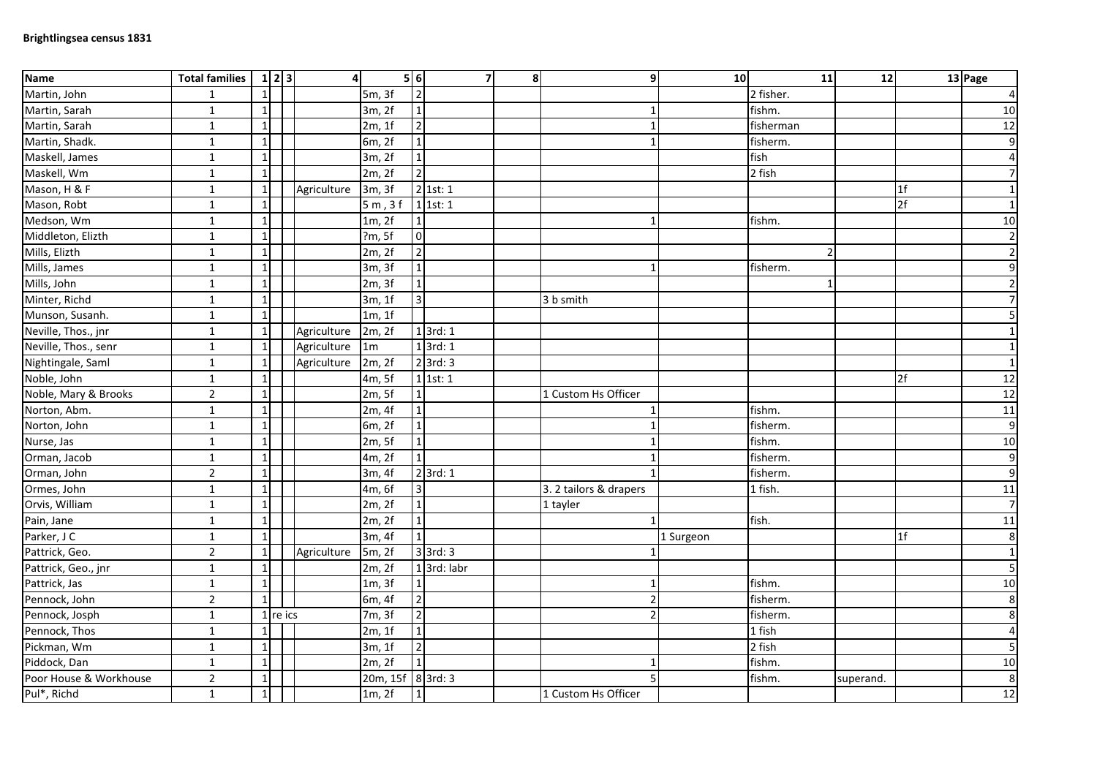| <b>Name</b>            | <b>Total families</b> |                 | 1 2 3      | $\overline{4}$ |                   | 56                      | $\overline{7}$ | $\mathbf{8}$ | 9l                     | 10 <sup>1</sup> | 11        | 12        |                | 13 Page          |
|------------------------|-----------------------|-----------------|------------|----------------|-------------------|-------------------------|----------------|--------------|------------------------|-----------------|-----------|-----------|----------------|------------------|
| Martin, John           | $\mathbf{1}$          | $\mathbf{1}$    |            |                | 5m, 3f            | $\overline{2}$          |                |              |                        |                 | 2 fisher. |           |                | $\overline{a}$   |
| Martin, Sarah          | $\mathbf{1}$          | $\mathbf{1}$    |            |                | 3m, 2f            | $\mathbf{1}$            |                |              | 1                      |                 | fishm.    |           |                | 10               |
| Martin, Sarah          | $\mathbf{1}$          | $1\overline{ }$ |            |                | 2m, 1f            | $\overline{2}$          |                |              | 1                      |                 | fisherman |           |                | 12               |
| Martin, Shadk.         | $\mathbf{1}$          | 1 <sup>1</sup>  |            |                | 6m, 2f            | $\overline{1}$          |                |              | 1                      |                 | fisherm.  |           |                | 9                |
| Maskell, James         | $\mathbf 1$           | $\mathbf{1}$    |            |                | 3m, 2f            | $\overline{1}$          |                |              |                        |                 | fish      |           |                | $\overline{4}$   |
| Maskell, Wm            | $\mathbf{1}$          | $\mathbf{1}$    |            |                | 2m, 2f            | $\overline{2}$          |                |              |                        |                 | 2 fish    |           |                | 7                |
| Mason, H & F           | $\mathbf{1}$          | $1\vert$        |            | Agriculture    | 3m, 3f            |                         | $2$ 1st: 1     |              |                        |                 |           |           | 1f             | $\overline{1}$   |
| Mason, Robt            | $\mathbf{1}$          | $\mathbf{1}$    |            |                | 5m, 3f            |                         | $1$ 1st: 1     |              |                        |                 |           |           | 2f             | $\mathbf{1}$     |
| Medson, Wm             | $\mathbf{1}$          | $\mathbf{1}$    |            |                | 1m, 2f            | $\mathbf{1}$            |                |              |                        |                 | fishm.    |           |                | 10               |
| Middleton, Elizth      | $\mathbf{1}$          | $1\vert$        |            |                | ?m, 5f            | $\overline{\mathbf{0}}$ |                |              |                        |                 |           |           |                | $\overline{2}$   |
| Mills, Elizth          | $\mathbf{1}$          | 1 <sup>1</sup>  |            |                | 2m, 2f            | $\overline{2}$          |                |              |                        |                 |           |           |                | $2 \overline{ }$ |
| Mills, James           | $\mathbf 1$           | $\mathbf{1}$    |            |                | 3m, 3f            | $\overline{1}$          |                |              | $\mathbf{1}$           |                 | fisherm.  |           |                | $\overline{9}$   |
| Mills, John            | $\mathbf{1}$          | $\mathbf{1}$    |            |                | 2m, 3f            | $\overline{1}$          |                |              |                        |                 |           |           |                | $\overline{2}$   |
| Minter, Richd          | $\mathbf 1$           | $\mathbf{1}$    |            |                | 3m, 1f            | $\overline{\mathbf{3}}$ |                |              | 3 b smith              |                 |           |           |                | $\overline{7}$   |
| Munson, Susanh.        | $\mathbf 1$           | $1\vert$        |            |                | 1m, 1f            |                         |                |              |                        |                 |           |           |                | 5 <sub>l</sub>   |
| Neville, Thos., jnr    | $\overline{1}$        | $1\vert$        |            | Agriculture    | 2m, 2f            |                         | $1$ 3rd: $1$   |              |                        |                 |           |           |                | $\mathbf{1}$     |
| Neville, Thos., senr   | $\mathbf{1}$          | $1\vert$        |            | Agriculture    | 1 <sub>m</sub>    |                         | $1$ 3rd: 1     |              |                        |                 |           |           |                | $\mathbf{1}$     |
| Nightingale, Saml      | $\mathbf{1}$          | 1               |            | Agriculture    | 2m, 2f            |                         | $2$ 3rd: 3     |              |                        |                 |           |           |                | $\mathbf{1}$     |
| Noble, John            | $\mathbf 1$           | $1\vert$        |            |                | 4m, 5f            |                         | $1$ 1st: 1     |              |                        |                 |           |           | 2f             | 12               |
| Noble, Mary & Brooks   | $\overline{2}$        | $\mathbf{1}$    |            |                | 2m, 5f            | $\mathbf{1}$            |                |              | 1 Custom Hs Officer    |                 |           |           |                | 12               |
| Norton, Abm.           | $\mathbf{1}$          | $\mathbf{1}$    |            |                | 2m, 4f            | $\mathbf 1$             |                |              |                        |                 | fishm.    |           |                | 11               |
| Norton, John           | $\mathbf 1$           | 1               |            |                | 6m, 2f            | $\overline{1}$          |                |              |                        |                 | fisherm.  |           |                | $\overline{9}$   |
| Nurse, Jas             | $\mathbf{1}$          | $\mathbf{1}$    |            |                | 2m, 5f            | $\overline{1}$          |                |              |                        |                 | fishm.    |           |                | 10               |
| Orman, Jacob           | $\mathbf{1}$          | $\mathbf{1}$    |            |                | 4m, 2f            | $\overline{1}$          |                |              |                        |                 | fisherm.  |           |                | $\overline{9}$   |
| Orman, John            | $\overline{2}$        | $1\vert$        |            |                | 3m, 4f            |                         | $2$ 3rd: 1     |              |                        |                 | fisherm.  |           |                | 9                |
| Ormes, John            | $\mathbf{1}$          | $1\vert$        |            |                | 4m, 6f            | $\overline{\mathbf{3}}$ |                |              | 3. 2 tailors & drapers |                 | 1 fish.   |           |                | $11\,$           |
| Orvis, William         | $\mathbf 1$           | $\mathbf{1}$    |            |                | 2m, 2f            | $\overline{1}$          |                |              | 1 tayler               |                 |           |           |                | 7                |
| Pain, Jane             | $\mathbf{1}$          | $1\overline{ }$ |            |                | 2m, 2f            | $\mathbf 1$             |                |              |                        |                 | fish.     |           |                | 11               |
| Parker, J C            | $\mathbf 1$           | $1\vert$        |            |                | 3m, 4f            | $\overline{1}$          |                |              |                        | 1 Surgeon       |           |           | 1 <sub>f</sub> | $\infty$         |
| Pattrick, Geo.         | $\overline{2}$        | $\vert$ 1       |            | Agriculture    | 5m, 2f            |                         | $3$ 3rd: $3$   |              |                        |                 |           |           |                | $\mathbf{1}$     |
| Pattrick, Geo., jnr    | $\mathbf{1}$          | 1               |            |                | 2m, 2f            |                         | 1 3rd: labr    |              |                        |                 |           |           |                | 5 <sub>l</sub>   |
| Pattrick, Jas          | $\mathbf 1$           | 1 <sup>1</sup>  |            |                | 1m, 3f            | $\overline{1}$          |                |              | $\mathbf{1}$           |                 | fishm.    |           |                | 10               |
| Pennock, John          | $\overline{2}$        | $1\vert$        |            |                | 6m, 4f            | $\overline{2}$          |                |              | $\mathfrak{p}$         |                 | fisherm.  |           |                | 8                |
| Pennock, Josph         | $\mathbf{1}$          |                 | $1$ re ics |                | 7m, 3f            | $\overline{2}$          |                |              | $\mathcal{P}$          |                 | fisherm.  |           |                | $\boldsymbol{8}$ |
| Pennock, Thos          | $\mathbf{1}$          | $\mathbf{1}$    |            |                | 2m, 1f            | $\overline{1}$          |                |              |                        |                 | 1 fish    |           |                | $\overline{4}$   |
| Pickman, Wm            | $\mathbf{1}$          | $1\overline{ }$ |            |                | 3m, 1f            | $\overline{2}$          |                |              |                        |                 | 2 fish    |           |                | 5 <sub>l</sub>   |
| Piddock, Dan           | $\mathbf{1}$          | $\mathbf{1}$    |            |                | 2m, 2f            | $\overline{1}$          |                |              | 1                      |                 | fishm.    |           |                | 10               |
| Poor House & Workhouse | $\overline{2}$        | 1               |            |                | 20m, 15f 8 3rd: 3 |                         |                |              |                        |                 | fishm.    | superand. |                | $\boldsymbol{8}$ |
| Pul*, Richd            | $\mathbf{1}$          | $1\overline{)}$ |            |                | 1m, 2f            | $\overline{1}$          |                |              | 1 Custom Hs Officer    |                 |           |           |                | 12               |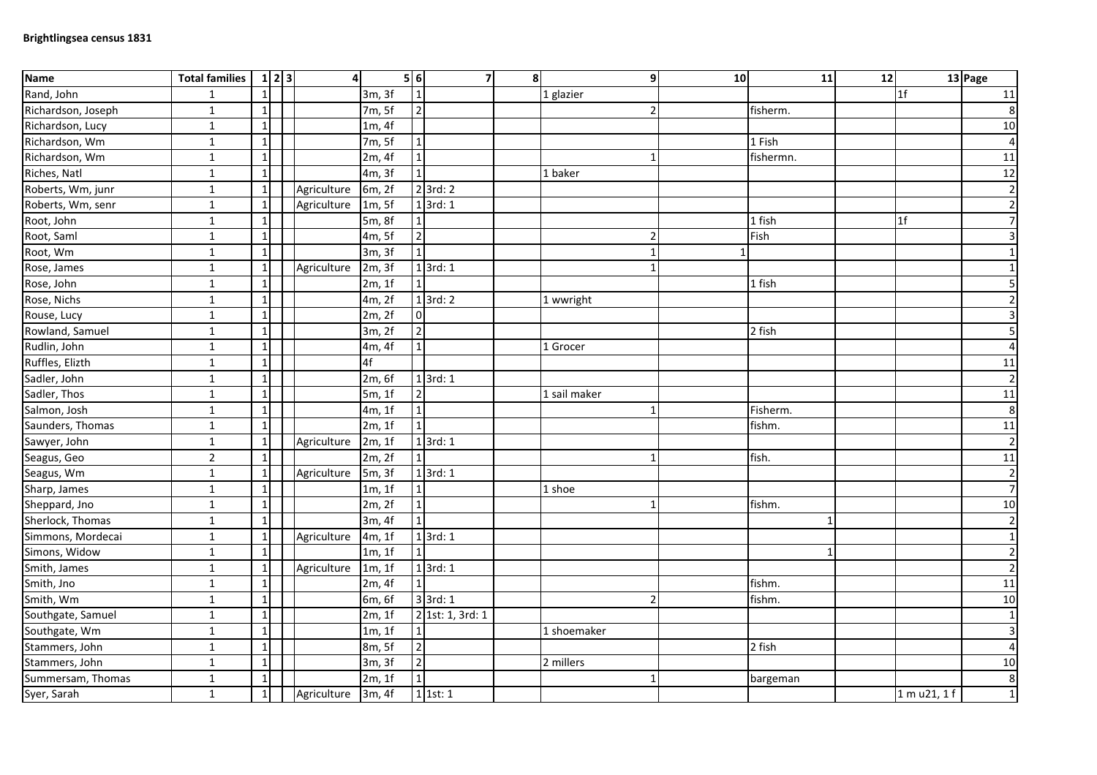| <b>Name</b>        | <b>Total families</b> | 1 2 3        | $\overline{4}$     |        | 5 6            | 7                     | 8 <sup>1</sup> | 9             | 10 | 11           | 12 |                | 13 Page          |
|--------------------|-----------------------|--------------|--------------------|--------|----------------|-----------------------|----------------|---------------|----|--------------|----|----------------|------------------|
| Rand, John         | $\mathbf{1}$          | $\mathbf{1}$ |                    | 3m, 3f |                |                       |                | 1 glazier     |    |              |    | 1 <sup>f</sup> | 11               |
| Richardson, Joseph | $\mathbf{1}$          | $\mathbf{1}$ |                    | 7m, 5f | $\overline{2}$ |                       |                |               |    | fisherm.     |    |                | $\bf 8$          |
| Richardson, Lucy   | $\mathbf 1$           | $\mathbf{1}$ |                    | 1m, 4f |                |                       |                |               |    |              |    |                | 10               |
| Richardson, Wm     | $\mathbf 1$           | $\mathbf{1}$ |                    | 7m, 5f |                |                       |                |               |    | 1 Fish       |    |                | $\vert$          |
| Richardson, Wm     | $\mathbf 1$           | $\mathbf{1}$ |                    | 2m, 4f |                |                       |                |               |    | fishermn.    |    |                | 11               |
| Riches, Natl       | $\mathbf{1}$          | $\mathbf{1}$ |                    | 4m, 3f |                |                       |                | 1 baker       |    |              |    |                | 12               |
| Roberts, Wm, junr  | $\mathbf{1}$          | $\mathbf{1}$ | Agriculture        | 6m, 2f |                | $2$ 3rd: $2$          |                |               |    |              |    |                | $\overline{2}$   |
| Roberts, Wm, senr  | $\mathbf 1$           | $\mathbf{1}$ | Agriculture        | 1m, 5f |                | $1$ 3rd: 1            |                |               |    |              |    |                | $\overline{2}$   |
| Root, John         | $\mathbf 1$           | $\mathbf{1}$ |                    | 5m, 8f |                |                       |                |               |    | 1 fish       |    | 1 <sub>f</sub> | $\overline{7}$   |
| Root, Saml         | $\mathbf{1}$          | $\mathbf{1}$ |                    | 4m, 5f | $\overline{2}$ |                       |                |               |    | Fish         |    |                | $\overline{3}$   |
| Root, Wm           | $\mathbf{1}$          | $\mathbf{1}$ |                    | 3m, 3f | $\mathbf{1}$   |                       |                | $\mathbf{1}$  |    |              |    |                | $1\vert$         |
| Rose, James        | $\mathbf 1$           | $\mathbf{1}$ | Agriculture        | 2m, 3f |                | $1$ 3rd: $1$          |                |               |    |              |    |                | $1\overline{)}$  |
| Rose, John         | $\mathbf 1$           | 1            |                    | 2m, 1f |                |                       |                |               |    | 1 fish       |    |                | 5                |
| Rose, Nichs        | $\mathbf{1}$          | $\mathbf{1}$ |                    | 4m, 2f |                | $1$ 3rd: 2            |                | 1 wwright     |    |              |    |                | $\overline{2}$   |
| Rouse, Lucy        | $\mathbf 1$           | $\mathbf{1}$ |                    | 2m, 2f | $\overline{0}$ |                       |                |               |    |              |    |                | $\overline{3}$   |
| Rowland, Samuel    | $\mathbf 1$           | $\mathbf{1}$ |                    | 3m, 2f | $\overline{2}$ |                       |                |               |    | 2 fish       |    |                | $\overline{5}$   |
| Rudlin, John       | $\mathbf{1}$          | $\mathbf{1}$ |                    | 4m, 4f | $\mathbf{1}$   |                       |                | 1 Grocer      |    |              |    |                | $\overline{4}$   |
| Ruffles, Elizth    | $\mathbf 1$           | $\mathbf{1}$ |                    | 4f     |                |                       |                |               |    |              |    |                | $11\,$           |
| Sadler, John       | $\mathbf{1}$          | $\mathbf{1}$ |                    | 2m, 6f |                | $1$ 3rd: 1            |                |               |    |              |    |                | $\overline{2}$   |
| Sadler, Thos       | $\mathbf{1}$          | 1            |                    | 5m, 1f | $\overline{2}$ |                       |                | 1 sail maker  |    |              |    |                | 11               |
| Salmon, Josh       | $\mathbf{1}$          | $\mathbf{1}$ |                    | 4m, 1f | $\mathbf{1}$   |                       |                | -1            |    | Fisherm.     |    |                | $\bf 8$          |
| Saunders, Thomas   | $\mathbf 1$           | $\mathbf{1}$ |                    | 2m, 1f | $\mathbf{1}$   |                       |                |               |    | fishm.       |    |                | 11               |
| Sawyer, John       | $\mathbf 1$           | $\mathbf{1}$ | Agriculture        | 2m, 1f |                | $1$ 3rd: 1            |                |               |    |              |    |                | $\overline{2}$   |
| Seagus, Geo        | $\overline{2}$        | $\mathbf{1}$ |                    | 2m, 2f |                |                       |                |               |    | fish.        |    |                | 11               |
| Seagus, Wm         | $\mathbf{1}$          | $\mathbf{1}$ | Agriculture        | 5m, 3f |                | $1$ 3rd: 1            |                |               |    |              |    |                | $\mathbf{2}$     |
| Sharp, James       | $\mathbf{1}$          | $\mathbf{1}$ |                    | 1m, 1f |                |                       |                | 1 shoe        |    |              |    |                | $\overline{7}$   |
| Sheppard, Jno      | $\mathbf 1$           | $\mathbf{1}$ |                    | 2m, 2f | $\mathbf{1}$   |                       |                |               |    | fishm.       |    |                | 10               |
| Sherlock, Thomas   | $\mathbf{1}$          | $\mathbf{1}$ |                    | 3m, 4f | $\mathbf{1}$   |                       |                |               |    | $\mathbf{1}$ |    |                | $\overline{2}$   |
| Simmons, Mordecai  | $\overline{1}$        | $\mathbf 1$  | Agriculture        | 4m, 1f |                | $1$ 3rd: 1            |                |               |    |              |    |                | $1\vert$         |
| Simons, Widow      | $\mathbf 1$           | $\mathbf{1}$ |                    | 1m, 1f |                |                       |                |               |    | $\mathbf{1}$ |    |                | $\overline{2}$   |
| Smith, James       | $\mathbf 1$           | $\mathbf{1}$ | Agriculture        | 1m, 1f |                | $1$ 3rd: 1            |                |               |    |              |    |                | $\overline{2}$   |
| Smith, Jno         | $\mathbf 1$           | $\mathbf{1}$ |                    | 2m, 4f |                |                       |                |               |    | fishm.       |    |                | 11               |
| Smith, Wm          | $\mathbf{1}$          | $\mathbf{1}$ |                    | 6m, 6f |                | 3 3rd: 1              |                | $\mathcal{P}$ |    | fishm.       |    |                | 10               |
| Southgate, Samuel  | $\mathbf 1$           | $\mathbf{1}$ |                    | 2m, 1f |                | 2 1st: 1, 3rd: 1      |                |               |    |              |    |                | $1\overline{)}$  |
| Southgate, Wm      | $\mathbf{1}$          | $\mathbf{1}$ |                    | 1m, 1f |                |                       |                | 1 shoemaker   |    |              |    |                | $\overline{3}$   |
| Stammers, John     | $\mathbf 1$           | $\mathbf{1}$ |                    | 8m, 5f | $\mathbf 2$    |                       |                |               |    | 2 fish       |    |                | $\overline{4}$   |
| Stammers, John     | $\mathbf 1$           | $\mathbf{1}$ |                    | 3m, 3f | $\overline{2}$ |                       |                | 2 millers     |    |              |    |                | 10               |
| Summersam, Thomas  | $\mathbf{1}$          | $\mathbf{1}$ |                    | 2m, 1f | $\overline{1}$ |                       |                | 1             |    | bargeman     |    |                | $\boldsymbol{8}$ |
| Syer, Sarah        | $\mathbf{1}$          | $\mathbf{1}$ | Agriculture 3m, 4f |        |                | $\overline{1}$ 1st: 1 |                |               |    |              |    | 1 m u21, 1 f   | $1\overline{)}$  |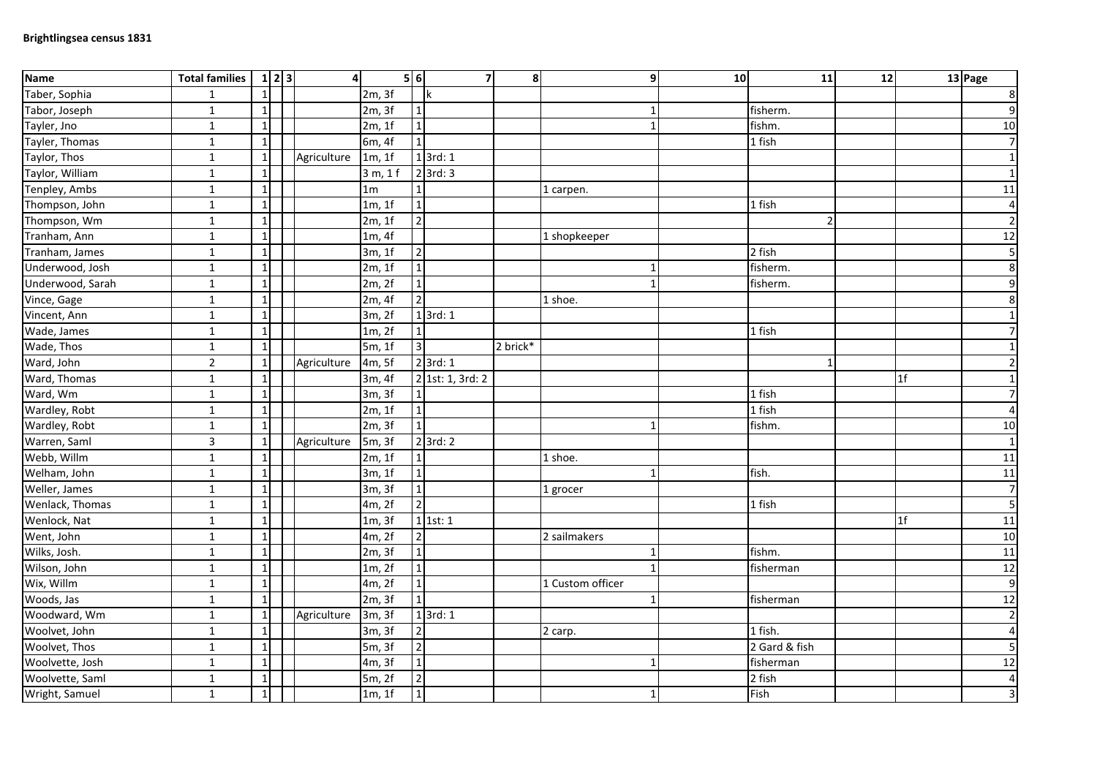| <b>Name</b>      | <b>Total families</b> | 1 2 3        | $\overline{4}$ |                | 5 6                     | 7                  | 8 <sup>1</sup> |                  | 10<br>9      | 11            | 12 |                | 13 Page          |
|------------------|-----------------------|--------------|----------------|----------------|-------------------------|--------------------|----------------|------------------|--------------|---------------|----|----------------|------------------|
| Taber, Sophia    | $\mathbf{1}$          | $\mathbf{1}$ |                | 2m, 3f         |                         | k                  |                |                  |              |               |    |                | $\bf 8$          |
| Tabor, Joseph    | $\mathbf 1$           | $\mathbf{1}$ |                | 2m, 3f         |                         |                    |                |                  |              | fisherm.      |    |                | $\overline{9}$   |
| Tayler, Jno      | $\mathbf{1}$          | $\mathbf{1}$ |                | 2m, 1f         | $\mathbf{1}$            |                    |                |                  | $\mathbf{1}$ | fishm.        |    |                | 10               |
| Tayler, Thomas   | $\mathbf 1$           | $\mathbf{1}$ |                | 6m, 4f         |                         |                    |                |                  |              | $1$ fish      |    |                | $\overline{7}$   |
| Taylor, Thos     | $\mathbf 1$           | $\mathbf{1}$ | Agriculture    | 1m, 1f         |                         | $1$ 3rd: $1$       |                |                  |              |               |    |                | $1\vert$         |
| Taylor, William  | $\mathbf 1$           | 1            |                | 3 m, 1 f       |                         | $2$ 3rd: 3         |                |                  |              |               |    |                | $1\vert$         |
| Tenpley, Ambs    | $\mathbf{1}$          | $\mathbf{1}$ |                | 1 <sub>m</sub> |                         |                    |                | 1 carpen.        |              |               |    |                | 11               |
| Thompson, John   | $\mathbf 1$           | $\mathbf{1}$ |                | 1m, 1f         | $\mathbf{1}$            |                    |                |                  |              | 1 fish        |    |                | $\overline{4}$   |
| Thompson, Wm     | $\mathbf 1$           | $\mathbf 1$  |                | 2m, 1f         | $\overline{2}$          |                    |                |                  |              | $\mathcal{P}$ |    |                | $\overline{2}$   |
| Tranham, Ann     | $\mathbf{1}$          | $\mathbf{1}$ |                | 1m, 4f         |                         |                    |                | 1 shopkeeper     |              |               |    |                | 12               |
| Tranham, James   | $\mathbf 1$           | $\mathbf{1}$ |                | 3m, 1f         | $\overline{2}$          |                    |                |                  |              | 2 fish        |    |                | 5 <sub>l</sub>   |
| Underwood, Josh  | $\mathbf 1$           | $\mathbf{1}$ |                | 2m, 1f         | $\mathbf{1}$            |                    |                |                  |              | fisherm.      |    |                | $\boldsymbol{8}$ |
| Underwood, Sarah | $\mathbf{1}$          | $\mathbf{1}$ |                | 2m, 2f         | $\mathbf 1$             |                    |                |                  |              | fisherm.      |    |                | $\overline{9}$   |
| Vince, Gage      | $\mathbf{1}$          | $\mathbf{1}$ |                | 2m, 4f         | $\mathbf 2$             |                    |                | 1 shoe.          |              |               |    |                | $\boldsymbol{8}$ |
| Vincent, Ann     | $\mathbf 1$           | $\mathbf{1}$ |                | 3m, 2f         |                         | $1$ 3rd: 1         |                |                  |              |               |    |                | $1\overline{)}$  |
| Wade, James      | $\mathbf{1}$          | $\mathbf{1}$ |                | 1m, 2f         |                         |                    |                |                  |              | 1 fish        |    |                | $\overline{7}$   |
| Wade, Thos       | $\mathbf 1$           | $\mathbf{1}$ |                | 5m, 1f         | $\overline{\mathbf{3}}$ |                    | 2 brick*       |                  |              |               |    |                | $1\vert$         |
| Ward, John       | $\overline{2}$        | $\mathbf{1}$ | Agriculture    | 4m, 5f         |                         | $2$ 3rd: 1         |                |                  |              | $\mathbf{1}$  |    |                | $\overline{2}$   |
| Ward, Thomas     | $\mathbf 1$           | $\mathbf{1}$ |                | 3m, 4f         |                         | $2$ 1st: 1, 3rd: 2 |                |                  |              |               |    | 1f             | $1\overline{)}$  |
| Ward, Wm         | $\mathbf{1}$          | $\mathbf{1}$ |                | 3m, 3f         |                         |                    |                |                  |              | 1 fish        |    |                | $\overline{7}$   |
| Wardley, Robt    | $\mathbf 1$           | 1            |                | 2m, 1f         | $\mathbf{1}$            |                    |                |                  |              | $1$ fish      |    |                | $\overline{4}$   |
| Wardley, Robt    | $\mathbf 1$           | $\mathbf{1}$ |                | 2m, 3f         | $\mathbf{1}$            |                    |                |                  |              | fishm.        |    |                | 10               |
| Warren, Saml     | $\overline{3}$        | $\mathbf{1}$ | Agriculture    | 5m, 3f         |                         | $2$ 3rd: $2$       |                |                  |              |               |    |                | $1\overline{)}$  |
| Webb, Willm      | $\mathbf{1}$          | $\mathbf{1}$ |                | 2m, 1f         |                         |                    |                | 1 shoe.          |              |               |    |                | 11               |
| Welham, John     | $\overline{1}$        | $\mathbf 1$  |                | 3m, 1f         | $\overline{1}$          |                    |                |                  | 1            | fish.         |    |                | $11\,$           |
| Weller, James    | $\mathbf 1$           | $\mathbf{1}$ |                | 3m, 3f         | $\mathbf 1$             |                    |                | 1 grocer         |              |               |    |                | $\overline{7}$   |
| Wenlack, Thomas  | $\mathbf{1}$          | $\mathbf{1}$ |                | 4m, 2f         | $\overline{2}$          |                    |                |                  |              | 1 fish        |    |                | 5                |
| Wenlock, Nat     | $\mathbf 1$           | $\mathbf{1}$ |                | 1m, 3f         |                         | $1$ 1st: 1         |                |                  |              |               |    | 1 <sup>f</sup> | 11               |
| Went, John       | $\mathbf 1$           | 1            |                | 4m, 2f         | $\overline{2}$          |                    |                | 2 sailmakers     |              |               |    |                | 10               |
| Wilks, Josh.     | $\overline{1}$        | $\mathbf{1}$ |                | 2m, 3f         |                         |                    |                |                  |              | fishm.        |    |                | 11               |
| Wilson, John     | $\mathbf{1}$          | $\mathbf{1}$ |                | 1m, 2f         | $\mathbf{1}$            |                    |                |                  |              | fisherman     |    |                | 12               |
| Wix, Willm       | $\overline{1}$        | $\mathbf 1$  |                | 4m, 2f         | $\overline{1}$          |                    |                | 1 Custom officer |              |               |    |                | $\overline{9}$   |
| Woods, Jas       | $\mathbf{1}$          | $\mathbf{1}$ |                | 2m, 3f         |                         |                    |                |                  |              | fisherman     |    |                | 12               |
| Woodward, Wm     | $\mathbf{1}$          | $\mathbf{1}$ | Agriculture    | 3m, 3f         |                         | $1$ 3rd: 1         |                |                  |              |               |    |                | $\overline{2}$   |
| Woolvet, John    | $\mathbf{1}$          | $\mathbf{1}$ |                | 3m, 3f         | $\overline{2}$          |                    |                | 2 carp.          |              | 1 fish.       |    |                | $\overline{4}$   |
| Woolvet, Thos    | $\mathbf{1}$          | $\mathbf{1}$ |                | 5m, 3f         | $\overline{2}$          |                    |                |                  |              | 2 Gard & fish |    |                | 5                |
| Woolvette, Josh  | $\mathbf 1$           | $\mathbf{1}$ |                | 4m, 3f         | $\mathbf{1}$            |                    |                |                  |              | fisherman     |    |                | 12               |
| Woolvette, Saml  | $\mathbf{1}$          | 1            |                | 5m, 2f         | $\overline{2}$          |                    |                |                  |              | 2 fish        |    |                | $\vert 4 \vert$  |
| Wright, Samuel   | $\mathbf{1}$          | $\mathbf{1}$ |                | 1m, 1f         | $\mathbf 1$             |                    |                |                  | 1            | Fish          |    |                | $\overline{3}$   |